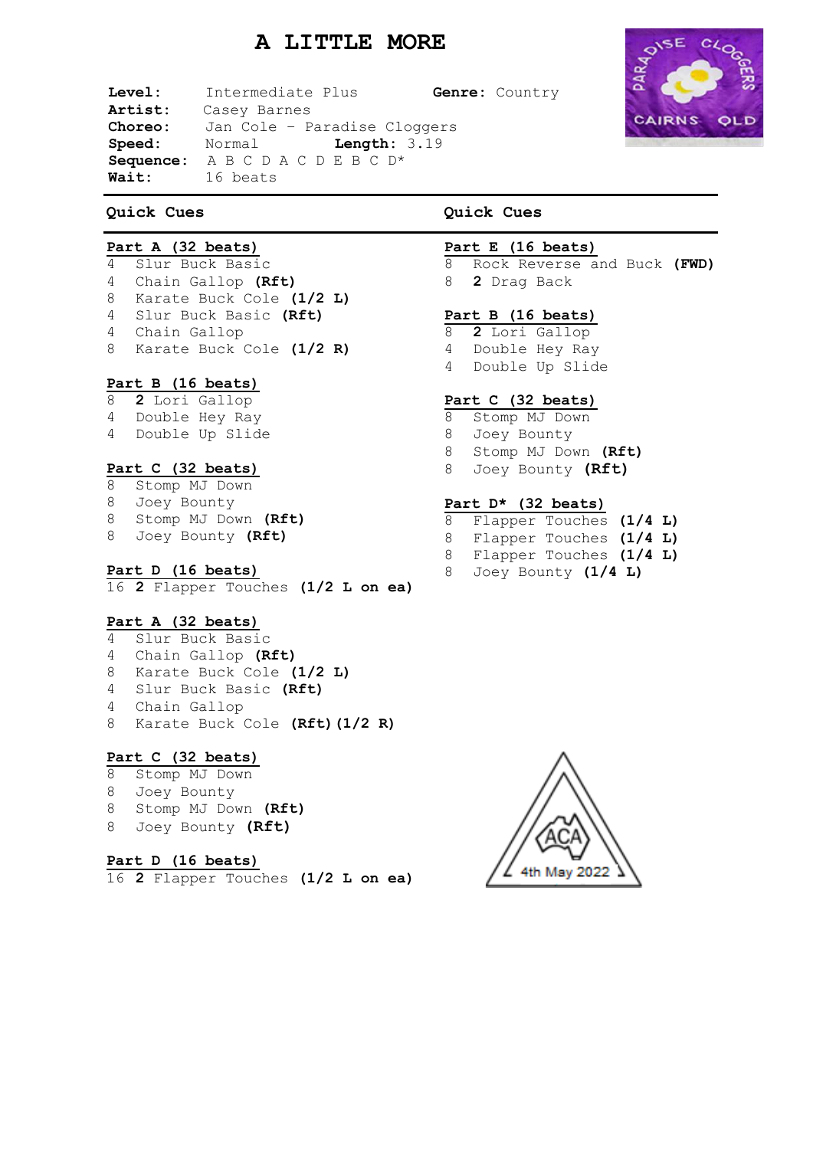# **A LITTLE MORE**

**Level:** Intermediate Plus **Genre:** Country **Artist:** Casey Barnes **Choreo:** Jan Cole – Paradise Cloggers **Speed:** Normal **Length:** 3.19 **Sequence:** A B C D A C D E B C D\* **Wait:** 16 beats

### **Quick Cues**

### **Part A (32 beats)**

 Slur Buck Basic Chain Gallop **(Rft)** Karate Buck Cole **(1/2 L)** Slur Buck Basic **(Rft)** Chain Gallop Karate Buck Cole **(1/2 R)**

### **Part B (16 beats)**

- **2** Lori Gallop Double Hey Ray
- Double Up Slide

### **Part C (32 beats)**

- Stomp MJ Down Joey Bounty Stomp MJ Down **(Rft)**
- Joey Bounty **(Rft)**
- 

### **Part D (16 beats)**

**2** Flapper Touches **(1/2 L on ea)**

### **Part A (32 beats)**

- Slur Buck Basic
- Chain Gallop **(Rft)**
- Karate Buck Cole **(1/2 L)**
- Slur Buck Basic **(Rft)**
- Chain Gallop
- Karate Buck Cole **(Rft)(1/2 R)**

### **Part C (32 beats)**

- Stomp MJ Down
- Joey Bounty
- Stomp MJ Down **(Rft)**
- Joey Bounty **(Rft)**

# **Part D (16 beats)**

**2** Flapper Touches **(1/2 L on ea)**

# **Quick Cues**

### **Part E (16 beats)**

 Rock Reverse and Buck **(FWD) 2** Drag Back

### **Part B (16 beats)**

 **2** Lori Gallop Double Hey Ray Double Up Slide

### **Part C (32 beats)**

- Stomp MJ Down
- Joey Bounty
- Stomp MJ Down **(Rft)**
- Joey Bounty **(Rft)**

### **Part D\* (32 beats)**

- Flapper Touches **(1/4 L)**
- Flapper Touches **(1/4 L)**
- Flapper Touches **(1/4 L)**
- Joey Bounty **(1/4 L)**